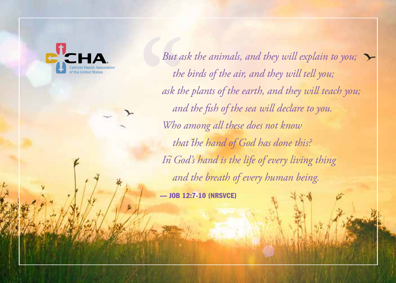*But ask the animals, and they will explain to you; the birds of the air, and they will tell you; ask the plants of the earth, and they will teach you; and the fish of the sea will declare to you. Who among all these does not know that the hand of God has done this? In God's hand is the life of every living thing and the breath of every human being.*

— JOB 12:7-10 (NRSVCE)